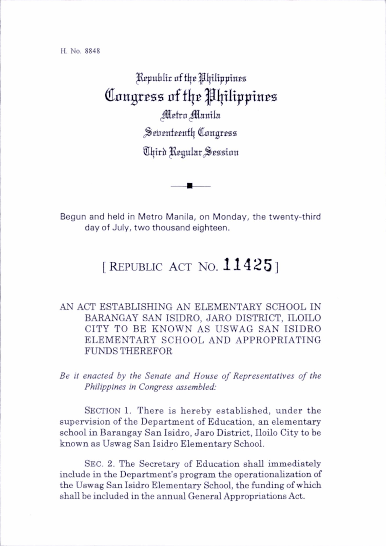H. No. 8848

Republic af the Philippines Congress of the Philippines Metro Manila Seventeenth Congress Chird Regular Session

Begun and held in Metro Manila, on Monday, the twenty-third day of July, two thousand eighteen.

## [REPUBLIC ACT NO.  $11425$ ]

## AN ACT ESTABLISHING AN ELEMENTARY SCHOOL IN BARANGAY SAN ISIDRO, JARO DISTRICT. ILOILO CITY TO BE KNOWN AS USWAG SAN ISIDRO ELEMENTARY SCHOOL AND APPROPRIATING FUNDS THEREFOR

Be il enacted by the Senate and House of Representatives of the Philippines in Congress assembled:

SECTION 1. There is hereby established, under the supervision of the Department of Education, an elementary school in Barangay San Isidro, Jaro District, Iloilo City to be known as Uswag San Isidro Elementary School.

Sec. 2. The Secretary of Education shall immediately include in the Department's program the operationalization of the Uswag San Isidro Elementary School, the funding of which shall be included in the annual General Appropriations Act.